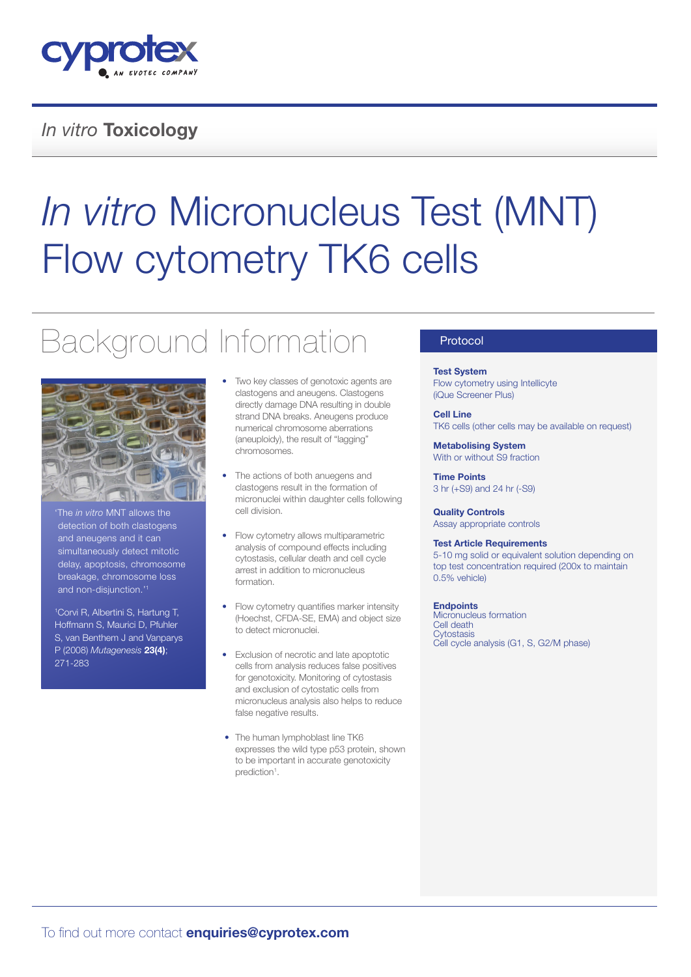

### *In vitro* Toxicology

# *In vitro* Micronucleus Test (MNT) Flow cytometry TK6 cells

## Background Information



'The *in vitro* MNT allows the detection of both clastogens and aneugens and it can simultaneously detect mitotic delay, apoptosis, chromosome breakage, chromosome loss and non-disjunction.'1

1 Corvi R, Albertini S, Hartung T, Hoffmann S, Maurici D, Pfuhler S, van Benthem J and Vanparys P (2008) *Mutagenesis* 23(4); 271-283

- Two key classes of genotoxic agents are clastogens and aneugens. Clastogens directly damage DNA resulting in double strand DNA breaks. Aneugens produce numerical chromosome aberrations (aneuploidy), the result of "lagging" chromosomes.
- The actions of both anuegens and clastogens result in the formation of micronuclei within daughter cells following cell division.
- Flow cytometry allows multiparametric analysis of compound effects including cytostasis, cellular death and cell cycle arrest in addition to micronucleus formation.
- Flow cytometry quantifies marker intensity (Hoechst, CFDA-SE, EMA) and object size to detect micronuclei.
- Exclusion of necrotic and late apoptotic cells from analysis reduces false positives for genotoxicity. Monitoring of cytostasis and exclusion of cytostatic cells from micronucleus analysis also helps to reduce false negative results.
- The human lymphoblast line TK6 expresses the wild type p53 protein, shown to be important in accurate genotoxicity prediction<sup>1</sup>.

#### Protocol

#### Test System Flow cytometry using Intellicyte (iQue Screener Plus)

Cell Line TK6 cells (other cells may be available on request)

Metabolising System With or without S9 fraction

Time Points 3 hr (+S9) and 24 hr (-S9)

Quality Controls Assay appropriate controls

#### Test Article Requirements

5-10 mg solid or equivalent solution depending on top test concentration required (200x to maintain 0.5% vehicle)

**Endpoints** 

Micronucleus formation Cell death **Cytostasis** Cell cycle analysis (G1, S, G2/M phase)